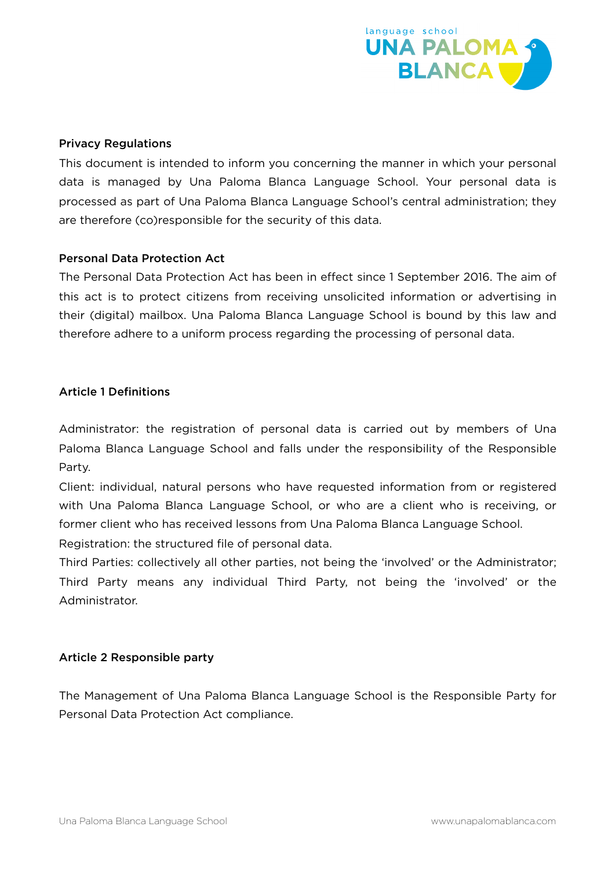

#### Privacy Regulations

This document is intended to inform you concerning the manner in which your personal data is managed by Una Paloma Blanca Language School. Your personal data is processed as part of Una Paloma Blanca Language School's central administration; they are therefore (co)responsible for the security of this data.

#### Personal Data Protection Act

The Personal Data Protection Act has been in effect since 1 September 2016. The aim of this act is to protect citizens from receiving unsolicited information or advertising in their (digital) mailbox. Una Paloma Blanca Language School is bound by this law and therefore adhere to a uniform process regarding the processing of personal data.

### Article 1 Definitions

Administrator: the registration of personal data is carried out by members of Una Paloma Blanca Language School and falls under the responsibility of the Responsible Party.

Client: individual, natural persons who have requested information from or registered with Una Paloma Blanca Language School, or who are a client who is receiving, or former client who has received lessons from Una Paloma Blanca Language School.

Registration: the structured file of personal data.

Third Parties: collectively all other parties, not being the 'involved' or the Administrator; Third Party means any individual Third Party, not being the 'involved' or the Administrator.

### Article 2 Responsible party

The Management of Una Paloma Blanca Language School is the Responsible Party for Personal Data Protection Act compliance.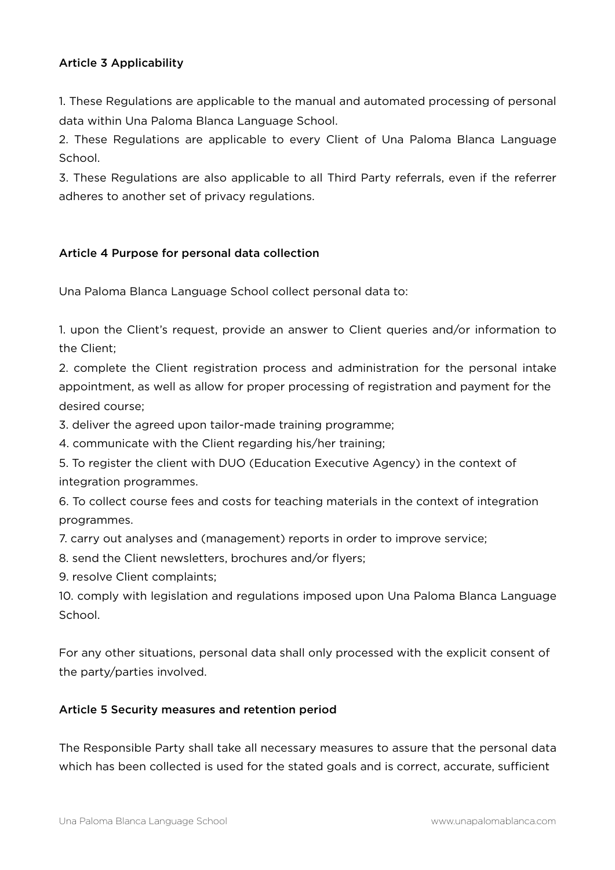## Article 3 Applicability

1. These Regulations are applicable to the manual and automated processing of personal data within Una Paloma Blanca Language School.

2. These Regulations are applicable to every Client of Una Paloma Blanca Language School.

3. These Regulations are also applicable to all Third Party referrals, even if the referrer adheres to another set of privacy regulations.

## Article 4 Purpose for personal data collection

Una Paloma Blanca Language School collect personal data to:

1. upon the Client's request, provide an answer to Client queries and/or information to the Client;

2. complete the Client registration process and administration for the personal intake appointment, as well as allow for proper processing of registration and payment for the desired course;

3. deliver the agreed upon tailor-made training programme;

4. communicate with the Client regarding his/her training;

5. To register the client with DUO (Education Executive Agency) in the context of integration programmes.

6. To collect course fees and costs for teaching materials in the context of integration programmes.

7. carry out analyses and (management) reports in order to improve service;

8. send the Client newsletters, brochures and/or flyers;

9. resolve Client complaints;

10. comply with legislation and regulations imposed upon Una Paloma Blanca Language School.

For any other situations, personal data shall only processed with the explicit consent of the party/parties involved.

# Article 5 Security measures and retention period

The Responsible Party shall take all necessary measures to assure that the personal data which has been collected is used for the stated goals and is correct, accurate, sufficient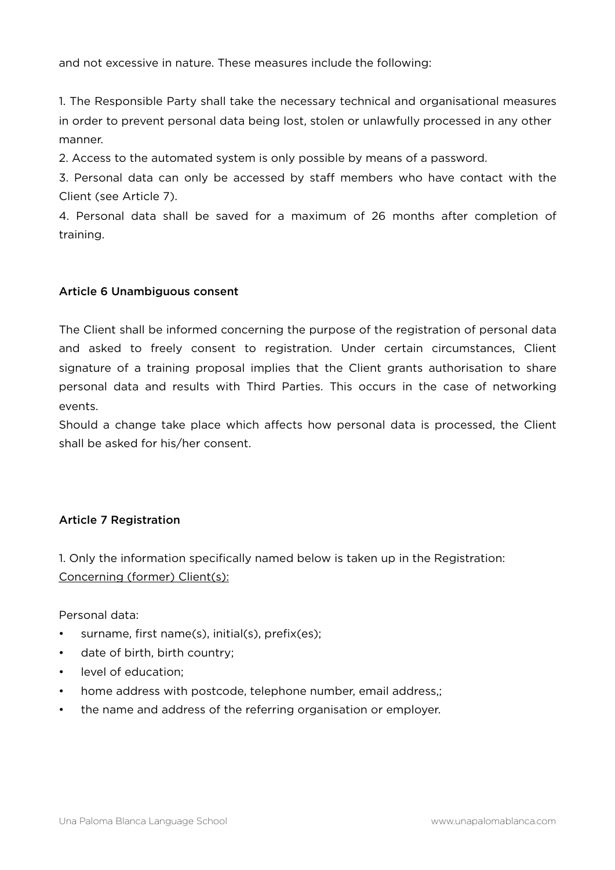and not excessive in nature. These measures include the following:

1. The Responsible Party shall take the necessary technical and organisational measures in order to prevent personal data being lost, stolen or unlawfully processed in any other manner.

2. Access to the automated system is only possible by means of a password.

3. Personal data can only be accessed by staff members who have contact with the Client (see Article 7).

4. Personal data shall be saved for a maximum of 26 months after completion of training.

## Article 6 Unambiguous consent

The Client shall be informed concerning the purpose of the registration of personal data and asked to freely consent to registration. Under certain circumstances, Client signature of a training proposal implies that the Client grants authorisation to share personal data and results with Third Parties. This occurs in the case of networking events.

Should a change take place which affects how personal data is processed, the Client shall be asked for his/her consent.

# Article 7 Registration

1. Only the information specifically named below is taken up in the Registration: Concerning (former) Client(s):

Personal data:

- surname, first name(s), initial(s), prefix(es);
- date of birth, birth country;
- level of education;
- home address with postcode, telephone number, email address,;
- the name and address of the referring organisation or employer.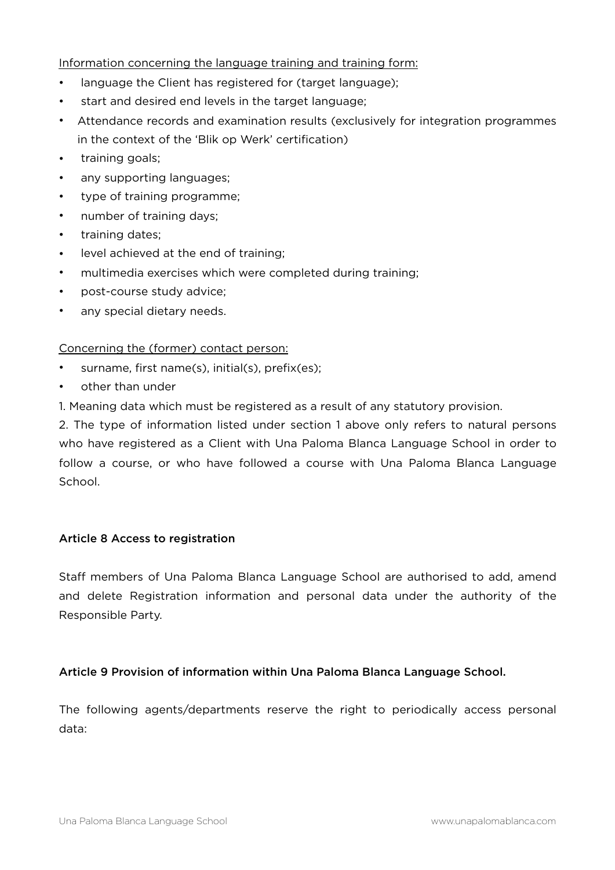### Information concerning the language training and training form:

- language the Client has registered for (target language);
- start and desired end levels in the target language;
- Attendance records and examination results (exclusively for integration programmes in the context of the 'Blik op Werk' certification)
- training goals:
- any supporting languages;
- type of training programme;
- number of training days;
- training dates;
- level achieved at the end of training;
- multimedia exercises which were completed during training;
- post-course study advice;
- any special dietary needs.

### Concerning the (former) contact person:

- surname, first name(s), initial(s), prefix(es);
- other than under
- 1. Meaning data which must be registered as a result of any statutory provision.

2. The type of information listed under section 1 above only refers to natural persons who have registered as a Client with Una Paloma Blanca Language School in order to follow a course, or who have followed a course with Una Paloma Blanca Language School.

# Article 8 Access to registration

Staff members of Una Paloma Blanca Language School are authorised to add, amend and delete Registration information and personal data under the authority of the Responsible Party.

### Article 9 Provision of information within Una Paloma Blanca Language School.

The following agents/departments reserve the right to periodically access personal data: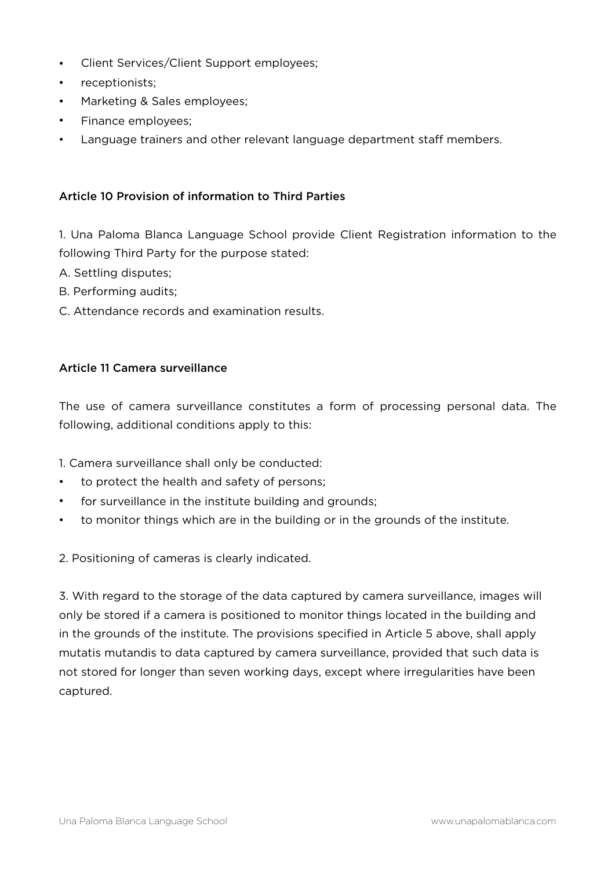- Client Services/Client Support employees;
- receptionists;
- Marketing & Sales employees;
- Finance employees;
- Language trainers and other relevant language department staff members.

### Article 10 Provision of information to Third Parties

1. Una Paloma Blanca Language School provide Client Registration information to the following Third Party for the purpose stated:

- A. Settling disputes;
- B. Performing audits;
- C. Attendance records and examination results.

#### Article 11 Camera surveillance

The use of camera surveillance constitutes a form of processing personal data. The following, additional conditions apply to this:

1. Camera surveillance shall only be conducted:

- to protect the health and safety of persons;
- for surveillance in the institute building and grounds;
- to monitor things which are in the building or in the grounds of the institute.

2. Positioning of cameras is clearly indicated.

3. With regard to the storage of the data captured by camera surveillance, images will only be stored if a camera is positioned to monitor things located in the building and in the grounds of the institute. The provisions specified in Article 5 above, shall apply mutatis mutandis to data captured by camera surveillance, provided that such data is not stored for longer than seven working days, except where irregularities have been captured.